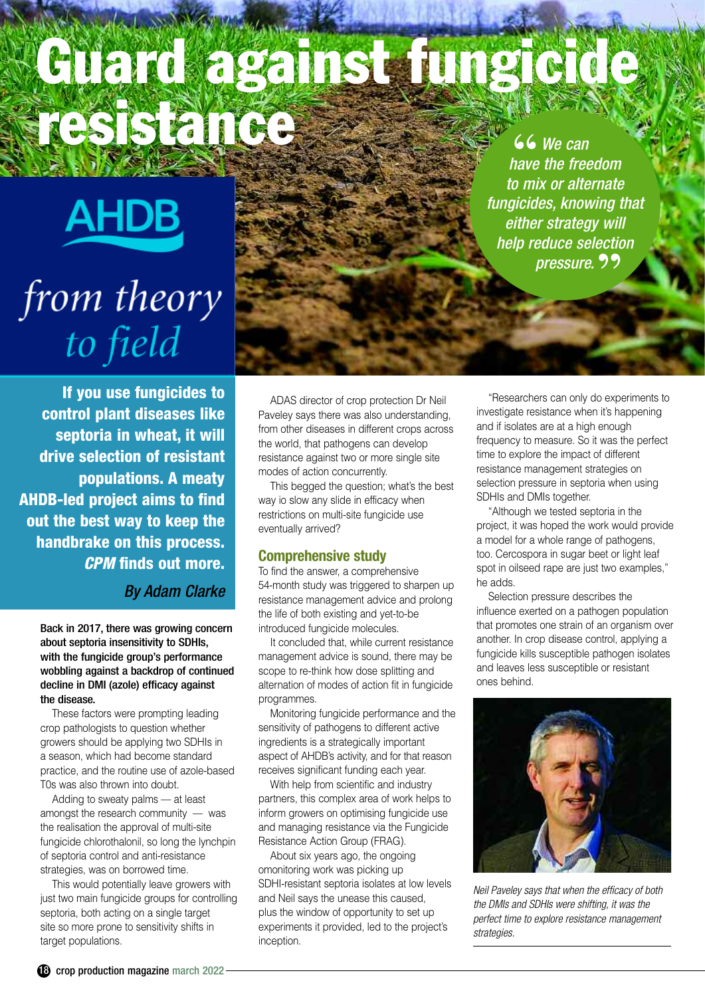## **Guard against fungicide resistance 66** We can have the free *have the freedom*

**AHDB** 

# from theory to field

*to mix or alternate fungicides, knowing that either strategy will help reduce selection* pressure. 99

**If you use fungicides to control plant diseases like septoria in wheat, it will drive selection of resistant populations. A meaty AHDB-led project aims to find out the best way to keep the handbrake on this process.** *CPM* **finds out more.**

*By Adam Clarke*

Back in 2017, there was growing concern about septoria insensitivity to SDHIs, with the fungicide group's performance wobbling against a backdrop of continued decline in DMI (azole) efficacy against the disease.

These factors were prompting leading crop pathologists to question whether growers should be applying two SDHIs in a season, which had become standard practice, and the routine use of azole-based T0s was also thrown into doubt.

Adding to sweaty palms –– at least amongst the research community  $-$  was the realisation the approval of multi-site fungicide chlorothalonil, so long the lynchpin of septoria control and anti-resistance strategies, was on borrowed time.

This would potentially leave growers with just two main fungicide groups for controlling septoria, both acting on a single target site so more prone to sensitivity shifts in target populations.

ADAS director of crop protection Dr Neil Paveley says there was also understanding, from other diseases in different crops across the world, that pathogens can develop resistance against two or more single site modes of action concurrently.

This begged the question; what's the best way io slow any slide in efficacy when restrictions on multi-site fungicide use eventually arrived?

#### **Comprehensive study**

To find the answer, a comprehensive 54-month study was triggered to sharpen up resistance management advice and prolong the life of both existing and yet-to-be introduced fungicide molecules.

It concluded that, while current resistance management advice is sound, there may be scope to re-think how dose splitting and alternation of modes of action fit in fungicide programmes.

Monitoring fungicide performance and the sensitivity of pathogens to different active ingredients is a strategically important aspect of AHDB's activity, and for that reason receives significant funding each year.

With help from scientific and industry partners, this complex area of work helps to inform growers on optimising fungicide use and managing resistance via the Fungicide Resistance Action Group (FRAG).

About six years ago, the ongoing omonitoring work was picking up SDHI-resistant septoria isolates at low levels and Neil says the unease this caused, plus the window of opportunity to set up experiments it provided, led to the project's inception.

"Researchers can only do experiments to investigate resistance when it's happening and if isolates are at a high enough frequency to measure. So it was the perfect time to explore the impact of different resistance management strategies on selection pressure in septoria when using SDHIs and DMIs together.

"Although we tested septoria in the project, it was hoped the work would provide a model for a whole range of pathogens, too. Cercospora in sugar beet or light leaf spot in oilseed rape are just two examples," he adds.

Selection pressure describes the influence exerted on a pathogen population that promotes one strain of an organism over another. In crop disease control, applying a fungicide kills susceptible pathogen isolates and leaves less susceptible or resistant ones behind.



*Neil Paveley says that when the efficacy of both the DMIs and SDHIs were shifting, it was the perfect time to explore resistance management strategies.*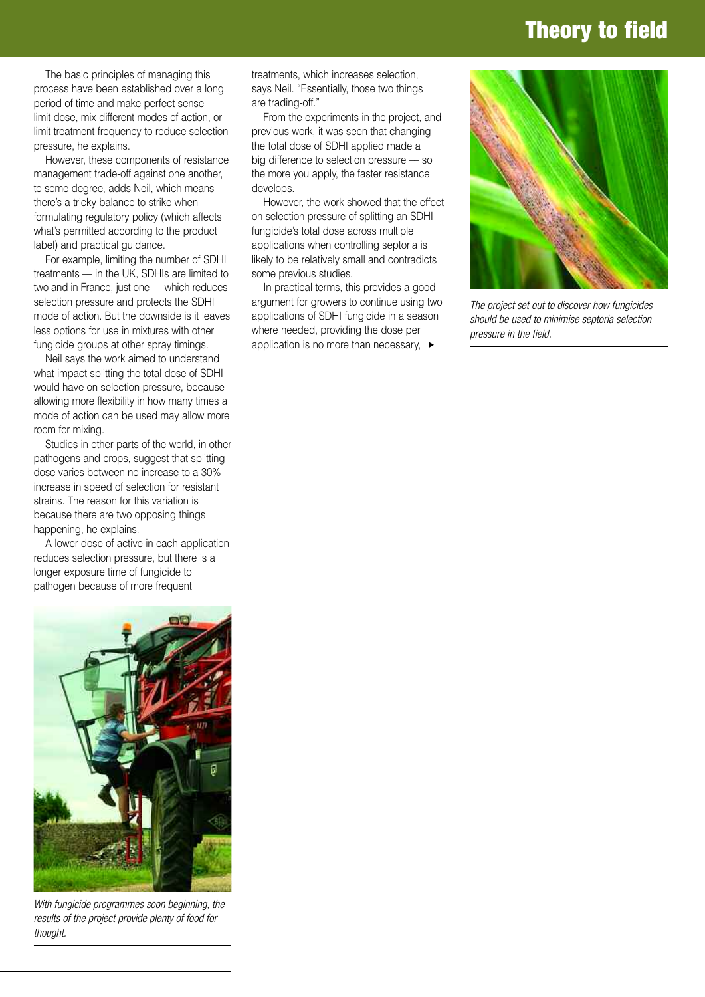### **Theory to field**

The basic principles of managing this process have been established over a long period of time and make perfect sense –– limit dose, mix different modes of action, or limit treatment frequency to reduce selection pressure, he explains.

However, these components of resistance management trade-off against one another, to some degree, adds Neil, which means there's a tricky balance to strike when formulating regulatory policy (which affects what's permitted according to the product label) and practical guidance.

For example, limiting the number of SDHI treatments –– in the UK, SDHIs are limited to two and in France, just one - which reduces selection pressure and protects the SDHI mode of action. But the downside is it leaves less options for use in mixtures with other fungicide groups at other spray timings.

Neil says the work aimed to understand what impact splitting the total dose of SDHI would have on selection pressure, because allowing more flexibility in how many times a mode of action can be used may allow more room for mixing.

Studies in other parts of the world, in other pathogens and crops, suggest that splitting dose varies between no increase to a 30% increase in speed of selection for resistant strains. The reason for this variation is because there are two opposing things happening, he explains.

A lower dose of active in each application reduces selection pressure, but there is a longer exposure time of fungicide to pathogen because of more frequent



*With fungicide programmes soon beginning, the results of the project provide plenty of food for thought.*

treatments, which increases selection, says Neil. "Essentially, those two things are trading-off."

From the experiments in the project, and previous work, it was seen that changing the total dose of SDHI applied made a big difference to selection pressure –– so the more you apply, the faster resistance develops.

However, the work showed that the effect on selection pressure of splitting an SDHI fungicide's total dose across multiple applications when controlling septoria is likely to be relatively small and contradicts some previous studies.

In practical terms, this provides a good argument for growers to continue using two applications of SDHI fungicide in a season where needed, providing the dose per application is no more than necessary, **▲**



*The project set out to discover how fungicides should be used to minimise septoria selection pressure in the field.*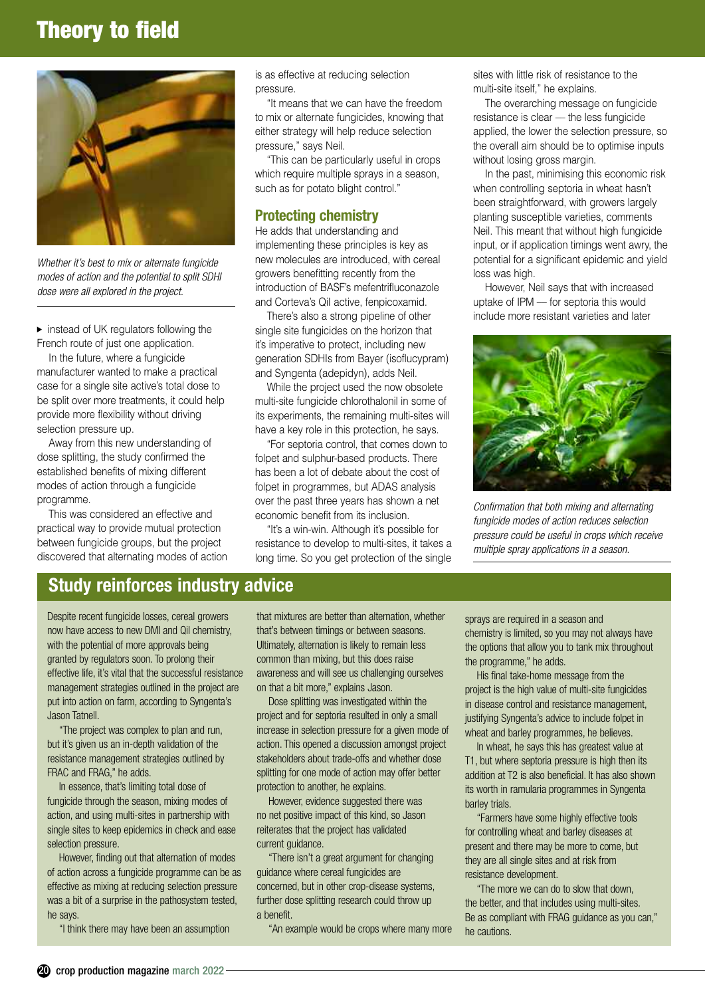## **Theory to field**



*Whether it's best to mix or alternate fungicide modes of action and the potential to split SDHI dose were all explored in the project.*

▶ instead of UK regulators following the French route of just one application.

In the future, where a fungicide manufacturer wanted to make a practical case for a single site active's total dose to be split over more treatments, it could help provide more flexibility without driving selection pressure up.

Away from this new understanding of dose splitting, the study confirmed the established benefits of mixing different modes of action through a fungicide programme.

This was considered an effective and practical way to provide mutual protection between fungicide groups, but the project discovered that alternating modes of action is as effective at reducing selection pressure.

"It means that we can have the freedom to mix or alternate fungicides, knowing that either strategy will help reduce selection pressure," says Neil.

"This can be particularly useful in crops which require multiple sprays in a season, such as for potato blight control."

#### **Protecting chemistry**

He adds that understanding and implementing these principles is key as new molecules are introduced, with cereal growers benefitting recently from the introduction of BASF's mefentrifluconazole and Corteva's QiI active, fenpicoxamid.

There's also a strong pipeline of other single site fungicides on the horizon that it's imperative to protect, including new generation SDHIs from Bayer (isoflucypram) and Syngenta (adepidyn), adds Neil.

While the project used the now obsolete multi-site fungicide chlorothalonil in some of its experiments, the remaining multi-sites will have a key role in this protection, he says.

"For septoria control, that comes down to folpet and sulphur-based products. There has been a lot of debate about the cost of folpet in programmes, but ADAS analysis over the past three years has shown a net economic benefit from its inclusion.

"It's a win-win. Although it's possible for resistance to develop to multi-sites, it takes a long time. So you get protection of the single

sites with little risk of resistance to the multi-site itself," he explains.

The overarching message on fungicide resistance is clear –– the less fungicide applied, the lower the selection pressure, so the overall aim should be to optimise inputs without losing gross margin.

In the past, minimising this economic risk when controlling septoria in wheat hasn't been straightforward, with growers largely planting susceptible varieties, comments Neil. This meant that without high fungicide input, or if application timings went awry, the potential for a significant epidemic and yield loss was high.

However, Neil says that with increased uptake of IPM –– for septoria this would include more resistant varieties and later



*Confirmation that both mixing and alternating fungicide modes of action reduces selection pressure could be useful in crops which receive multiple spray applications in a season.*

#### **Study reinforces industry advice**

Despite recent fungicide losses, cereal growers now have access to new DMI and QiI chemistry, with the potential of more approvals being granted by regulators soon. To prolong their effective life, it's vital that the successful resistance management strategies outlined in the project are put into action on farm, according to Syngenta's Jason Tatnell.

"The project was complex to plan and run, but it's given us an in-depth validation of the resistance management strategies outlined by FRAC and FRAG," he adds.

In essence, that's limiting total dose of fungicide through the season, mixing modes of action, and using multi-sites in partnership with single sites to keep epidemics in check and ease selection pressure.

However, finding out that alternation of modes of action across a fungicide programme can be as effective as mixing at reducing selection pressure was a bit of a surprise in the pathosystem tested, he says.

"I think there may have been an assumption

that mixtures are better than alternation, whether that's between timings or between seasons. Ultimately, alternation is likely to remain less common than mixing, but this does raise awareness and will see us challenging ourselves on that a bit more," explains Jason.

Dose splitting was investigated within the project and for septoria resulted in only a small increase in selection pressure for a given mode of action. This opened a discussion amongst project stakeholders about trade-offs and whether dose splitting for one mode of action may offer better protection to another, he explains.

However, evidence suggested there was no net positive impact of this kind, so Jason reiterates that the project has validated current guidance.

"There isn't a great argument for changing guidance where cereal fungicides are concerned, but in other crop-disease systems, further dose splitting research could throw up a benefit.

"An example would be crops where many more

sprays are required in a season and chemistry is limited, so you may not always have the options that allow you to tank mix throughout the programme," he adds.

His final take-home message from the project is the high value of multi-site fungicides in disease control and resistance management, justifying Syngenta's advice to include folpet in wheat and barley programmes, he believes.

In wheat, he says this has greatest value at T1, but where septoria pressure is high then its addition at T2 is also beneficial. It has also shown its worth in ramularia programmes in Syngenta barley trials.

"Farmers have some highly effective tools for controlling wheat and barley diseases at present and there may be more to come, but they are all single sites and at risk from resistance development.

"The more we can do to slow that down, the better, and that includes using multi-sites. Be as compliant with FRAG guidance as you can," he cautions.